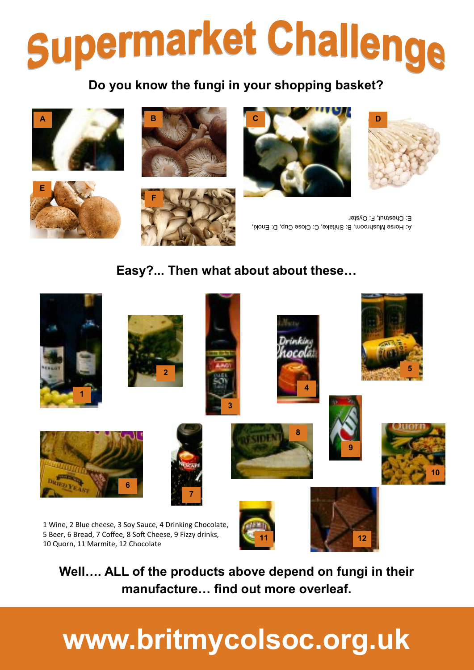# Supermarket Challenge

# **Do you know the fungi in your shopping basket?**





A: Horse Mushroom, B: Shitake, C: Close Cup, D: Enoki, E: Chestnut, F: Oyster





# **Easy?... Then what about about these…**



**Well…. ALL of the products above depend on fungi in their manufacture… find out more overleaf.**

# **www.britmycolsoc.org.uk**